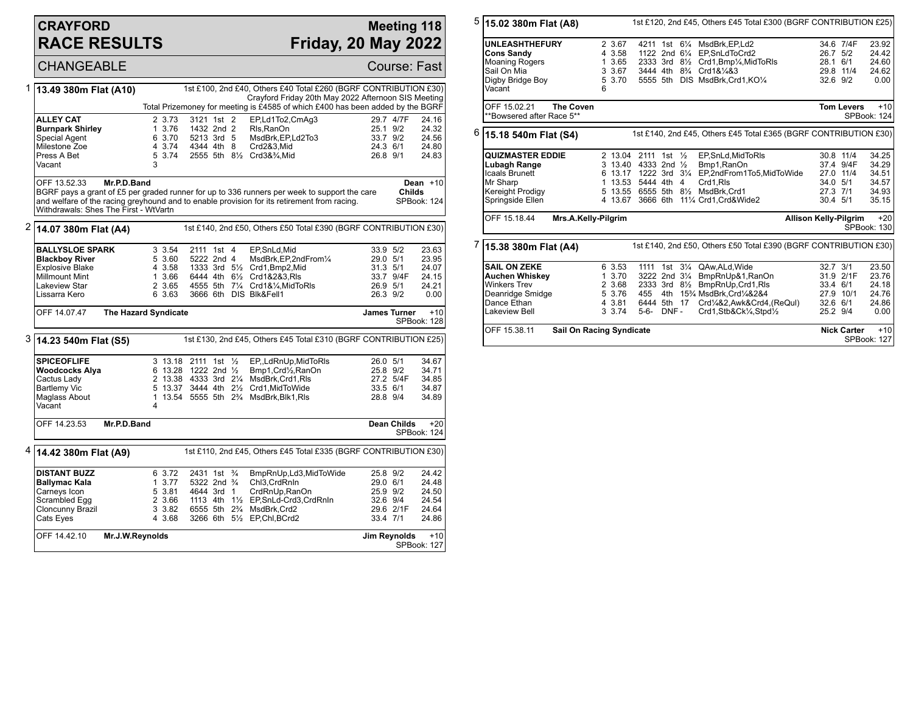### **CRAYFORD RACE RESULTS**

## **Meeting 118 Friday, 20 May 2022**

SPBook: 127

CHANGEABLE Course: Fast 1 **13.49 380m Flat (A10)** 1st £100, 2nd £40, Others £40 Total £260 (BGRF CONTRIBUTION £30) Crayford Friday 20th May 2022 Afternoon SIS Meeting Total Prizemoney for meeting is £4585 of which £400 has been added by the BGRF **ALLEY CAT** 24.16<br> **Burnpark Shirley** 24.16 2.7 3.76 1432 2nd 2 RIs.RanOn 23.1 9/2 24.32 **Burnpark Shirley** 1 3.76 1432 2nd 2 Rls,RanOn 25.1 9/2 24.32<br>Special Agent 6 3.70 5213 3rd 5 MsdBrk,EP,Ld2To3 33.7 9/2 24.56 Special Agent 6 3.70 5213 3rd 5 MsdBrk,EP,Ld2To3 33.7 9/2 24.56 Milestone Zoe 4 3.74 4344 4th 8 Crd2&3,Mid 24.3 6/1 24.80  $5 \overline{3.74}$  2555 5th  $8\frac{1}{2}$  Crd3& $\frac{3}{4}$ , Mid 3 Vacant OFF 13.52.33 **Mr.P.D.Band** BGRF pays a grant of £5 per graded runner for up to 336 runners per week to support the care and welfare of the racing greyhound and to enable provision for its retirement from racing. Withdrawals: Shes The First - WtVartn **Dean** +10 **Childs** SPBook: 124 2 **14.07 380m Flat (A4)** 1st £140, 2nd £50, Others £50 Total £390 (BGRF CONTRIBUTION £30) **BALLYSLOE SPARK** 3 3.54 2111 1st 4 EP, SnLd, Mid 33.9 5/2 23.63<br> **Blackbov River** 5 3.60 5222 2nd 4 MsdBrk. EP. 2ndFrom<sup>1</sup>/<sub>4</sub> 29.0 5/1 23.95 **Blackboy River** 5 3.60 5222 2nd 4 MsdBrk, EP, 2nd From 1/4 29.0 5/1 23.95<br>Explosive Blake 3.58 1333 3rd 5<sup>1</sup>/<sub>2</sub> Crd1, Bmp2, Mid 31.3 5/1 24.07 Explosive Blake 4 3.58 1333 3rd 5<sup>1</sup>/<sub>2</sub> Crd1,Bmp2,Mid 31.3 5/1 24.07<br>Millmount Mint 1 3.66 6444 4th 6<sup>1</sup>/<sub>2</sub> Crd1&2&3,Rls 33.7 9/4F 24.15 Millmount Mint 1 3.66 6444 4th 6½ Crd1&2&3,Rls 33.7 9/4F 24.15 Lakeview Star 2 3.65 4555 5th 7¼ Crd1&¼,MidToRls 26.9 5/1 24.21 3666 6th DIS Blk&Fell1 OFF 14.07.47 **The Hazard Syndicate James Turner** +10 SPBook: 128 3 **14.23 540m Flat (S5)** 1st £130, 2nd £45, Others £45 Total £310 (BGRF CONTRIBUTION £25) **SPICEOFLIFE** 3 13.18 2111 1st 1/<sub>2</sub> EP, LdRnUp, MidToRIs 26.0 5/1 34.67<br> **Woodcocks Alya** 6 13.28 1222 2nd 1/<sub>2</sub> Bmp1, Crd1/<sub>2</sub>, RanOn 25.8 9/2 34.71 **Woodcocks Alya** 6 13.28 1222 2nd ½ Bmp1,Crd½,RanOn 25.8 9/2 34.71<br>Cactus Ladv 2 13.38 4333 3rd 2¼ MsdBrk.Crd1.Rls 27.2 5/4F 34.85 Cactus Lady 2 13.38 4333 3rd 2¼ MsdBrk,Crd1,Rls 27.2 5/4F 34.85 Bartlemy Vic 5 13.37 3444 4th 2½ Crd1,MidToWide 33.5 6/1 34.87 1 13.54 5555 5th 2<sup>3</sup>/<sub>4</sub> MsdBrk, Blk1, Rls Vacant 4 OFF 14.23.53 **Mr.P.D.Band Dean Childs** +20 SPBook: 124 4 **14.42 380m Flat (A9)** 1st £110, 2nd £45, Others £45 Total £335 (BGRF CONTRIBUTION £30) **DISTANT BUZZ** 6 3.72 2431 1st ¾ BmpRnUp,Ld3,MidToWide 25.8 9/2 24.42<br> **Ballymac Kala** 1 3.77 5322 2nd ¾ Chl3.CrdRnIn 29.0 6/1 24.48 **Ballymac Kala** 1 3.77 5322 2nd ¾ Chl3,CrdRnIn 29.0 6/1 24.48<br>Carneys Icon 5 3.81 4644 3rd 1 CrdRnUp,RanOn 25.9 9/2 24.50 Carneys Icon 5 3.81 4644 3rd 1 CrdRnUp,RanOn 25.9 9/2 24.50

Scrambled Egg 2 3.66 1113 4th 1½ EP,SnLd-Crd3,CrdRnIn 32.6 9/4 24.54 Cloncunny Brazil 3 3.82 6555 5th 2¾ MsdBrk,Crd2 29.6 2/1F 24.64 3266 6th 51/2 EP,Chl,BCrd2 OFF 14.42.10 **Mr.J.W.Reynolds Jim Reynolds** +10

#### 5 **15.02 380m Flat (A8)** 1st £120, 2nd £45, Others £45 Total £300 (BGRF CONTRIBUTION £25) **UNLEASHTHEFURY** 2 3.67 4211 1st 6<sup>1</sup>/<sub>4</sub> MsdBrk,EP,Ld2 34.6 7/4F 23.92<br> **Cons Sandv** 3.58 1122 2nd 6<sup>1</sup>/<sub>4</sub> EP.SnLdToCrd2 26.7 5/2 24.42 **Cons Sandy** 4 3.58 1122 2nd 6<sup>1</sup>/<sub>4</sub> EP,SnLdToCrd2 26.7 5/2 24.42<br>Moaning Rogers 4 3.65 2333 3rd 8<sup>1</sup>/<sub>2</sub> Crd1,Bmp<sup>1</sup>/<sub>4</sub>,MidToRIs 28.1 6/1 24.60 Moaning Rogers 1 3.65 2333 3rd 8½ Crd1,Bmp¼,MidToRls 28.1 6/1 24.60<br>Sail On Mia 24.62 3 3.67 3444 4th 8¾ Crd1&¼&3 29.8 11/4 24.62 Sail On Mia 3 3.67 3444 4th 8¾ Crd1&¼&3 29.8 11/4 24.62 5555 5th DIS MsdBrk,Crd1,KO1/4 Vacant 6 OFF 15.02.21 **The Coven** \*\*Bowsered after Race 5\*\* **Tom Levers** +10 SPBook: 124 6 **15.18 540m Flat (S4)** 1st £140, 2nd £45, Others £45 Total £365 (BGRF CONTRIBUTION £30) **QUIZMASTER EDDIE** 2 13.04 2111 1st ½ EP,SnLd,MidToRIs 30.8 11/4 34.25<br>
Lubagh Range 3 13.40 4333 2nd ½ Bmp1,RanOn 37.4 9/4F 34.29 **Lubagh Range** 3 13.40 4333 2nd ½ Bmp1,RanOn 37.4 9/4F 34.29 Icaals Brunett 6 13.17 1222 3rd 3¼ EP,2ndFrom1To5,MidToWide 27.0 11/4 34.51 Mr Sharp 1 13.53 5444 4th 4 Crd1,Rls 34.0 5/1 34.57<br>
Kereight Prodigy 5 13.55 6555 5th 81/2 MsdBrk,Crd1 27.3 7/1 34.93 Kereight Prodigy 5 13.55 6555 5th 8½ MsdBrk,Crd1 27.3 7/1 34.93 4 13.67 3666 6th 11¼ Crd1,Crd&Wide2 OFF 15.18.44 **Mrs.A.Kelly-Pilgrim Allison Kelly-Pilgrim** +20 SPBook: 130 7 **15.38 380m Flat (A4)** 1st £140, 2nd £50, Others £50 Total £390 (BGRF CONTRIBUTION £30) **SAIL ON ZEKE** 6 3.53 1111 1st 3<sup>1</sup>/<sub>4</sub> QAw,ALd,Wide 32.7 3/1 23.50<br> **Auchen Whiskey** 1 3.70 3222 2nd 3<sup>1</sup>/<sub>4</sub> BmpRnUp&1,RanOn 31.9 2/1F 23.76 **Auchen Whiskey** 1 3.70 3222 2nd 3¼ BmpRnUp&1,RanOn 31.9 2/1F 23.76 Winkers Trev 2 3.68 2333 3rd 8½ BmpRnUp,Crd1,Rls 33.4 6/1 24.18<br>Deanridge Smidge 5 3.76 455 4th 15<sup>3</sup>/<sub>4</sub> MsdBrk,Crd<sup>1</sup>/4&2&4 27.9 10/1 24.76 Deanridge Smidge 5 3.76 455 4th 15¾ MsdBrk,Crd¼&2&4 27.9 10/1 24.76 Dance Ethan 4 3.81 6444 5th 17 Crd¼&2,Awk&Crd4,(ReQul) 32.6 6/1 24.86<br>Lakeview Bell 3 3.74 5-6- DNF - Crd1,Stb&Ck¼,Stpd½ 25.2 9/4 0.00  $Crd1, Stb& Ck\frac{1}{4},Stpd\frac{1}{2}$ OFF 15.38.11 **Sail On Racing Syndicate Nick Carter** +10

SPBook: 127